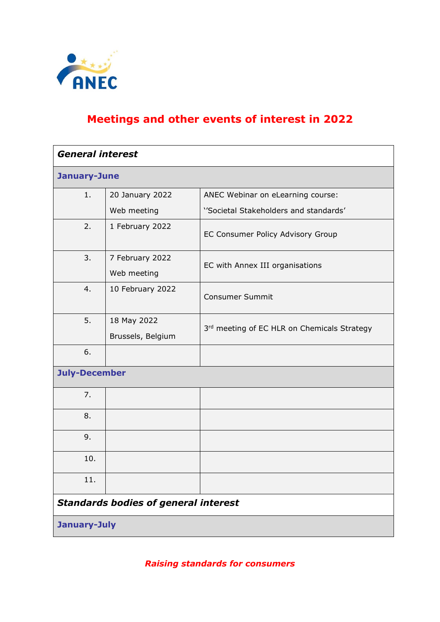

## **Meetings and other events of interest in 2022**

| <b>General interest</b> |                                             |                                             |
|-------------------------|---------------------------------------------|---------------------------------------------|
| January-June            |                                             |                                             |
| 1.                      | 20 January 2022                             | ANEC Webinar on eLearning course:           |
|                         | Web meeting                                 | "Societal Stakeholders and standards"       |
| 2.                      | 1 February 2022                             | EC Consumer Policy Advisory Group           |
| 3.                      | 7 February 2022<br>Web meeting              | EC with Annex III organisations             |
| 4.                      | 10 February 2022                            | <b>Consumer Summit</b>                      |
| 5.                      | 18 May 2022<br>Brussels, Belgium            | 3rd meeting of EC HLR on Chemicals Strategy |
| 6.                      |                                             |                                             |
| <b>July-December</b>    |                                             |                                             |
| 7.                      |                                             |                                             |
| 8.                      |                                             |                                             |
| 9.                      |                                             |                                             |
| 10.                     |                                             |                                             |
| 11.                     |                                             |                                             |
|                         | <b>Standards bodies of general interest</b> |                                             |
| January-July            |                                             |                                             |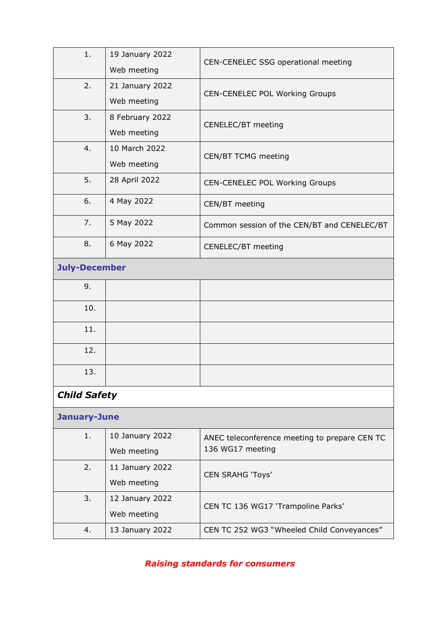| 1.                   | 19 January 2022<br>Web meeting | CEN-CENELEC SSG operational meeting                               |
|----------------------|--------------------------------|-------------------------------------------------------------------|
| 2.                   | 21 January 2022<br>Web meeting | CEN-CENELEC POL Working Groups                                    |
| 3.                   | 8 February 2022<br>Web meeting | CENELEC/BT meeting                                                |
| 4.                   | 10 March 2022<br>Web meeting   | CEN/BT TCMG meeting                                               |
| 5.                   | 28 April 2022                  | CEN-CENELEC POL Working Groups                                    |
| 6.                   | 4 May 2022                     | CEN/BT meeting                                                    |
| 7.                   | 5 May 2022                     | Common session of the CEN/BT and CENELEC/BT                       |
| 8.                   | 6 May 2022                     | CENELEC/BT meeting                                                |
| <b>July-December</b> |                                |                                                                   |
| 9.                   |                                |                                                                   |
| 10.                  |                                |                                                                   |
| 11.                  |                                |                                                                   |
| 12.                  |                                |                                                                   |
| 13.                  |                                |                                                                   |
| <b>Child Safety</b>  |                                |                                                                   |
| January-June         |                                |                                                                   |
| 1.                   | 10 January 2022<br>Web meeting | ANEC teleconference meeting to prepare CEN TC<br>136 WG17 meeting |
| 2.                   | 11 January 2022<br>Web meeting | <b>CEN SRAHG 'Toys'</b>                                           |
| 3.                   | 12 January 2022<br>Web meeting | CEN TC 136 WG17 'Trampoline Parks'                                |
| 4.                   | 13 January 2022                | CEN TC 252 WG3 "Wheeled Child Conveyances"                        |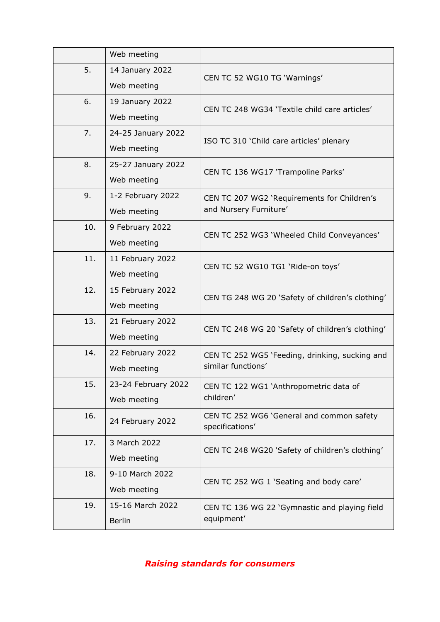|     | Web meeting         |                                                              |
|-----|---------------------|--------------------------------------------------------------|
| 5.  | 14 January 2022     |                                                              |
|     | Web meeting         | CEN TC 52 WG10 TG 'Warnings'                                 |
| 6.  | 19 January 2022     | CEN TC 248 WG34 'Textile child care articles'                |
|     | Web meeting         |                                                              |
| 7.  | 24-25 January 2022  | ISO TC 310 'Child care articles' plenary                     |
|     | Web meeting         |                                                              |
| 8.  | 25-27 January 2022  | CEN TC 136 WG17 'Trampoline Parks'                           |
|     | Web meeting         |                                                              |
| 9.  | 1-2 February 2022   | CEN TC 207 WG2 'Requirements for Children's                  |
|     | Web meeting         | and Nursery Furniture'                                       |
| 10. | 9 February 2022     | CEN TC 252 WG3 'Wheeled Child Conveyances'                   |
|     | Web meeting         |                                                              |
| 11. | 11 February 2022    | CEN TC 52 WG10 TG1 'Ride-on toys'                            |
|     | Web meeting         |                                                              |
| 12. | 15 February 2022    | CEN TG 248 WG 20 'Safety of children's clothing'             |
|     | Web meeting         |                                                              |
| 13. | 21 February 2022    | CEN TC 248 WG 20 'Safety of children's clothing'             |
|     | Web meeting         |                                                              |
| 14. | 22 February 2022    | CEN TC 252 WG5 'Feeding, drinking, sucking and               |
|     | Web meeting         | similar functions'                                           |
| 15. | 23-24 February 2022 | CEN TC 122 WG1 'Anthropometric data of                       |
|     | Web meeting         | children'                                                    |
| 16. | 24 February 2022    | CEN TC 252 WG6 'General and common safety<br>specifications' |
| 17. | 3 March 2022        | CEN TC 248 WG20 'Safety of children's clothing'              |
|     | Web meeting         |                                                              |
| 18. | 9-10 March 2022     | CEN TC 252 WG 1 'Seating and body care'                      |
|     | Web meeting         |                                                              |
| 19. | 15-16 March 2022    | CEN TC 136 WG 22 'Gymnastic and playing field                |
|     | <b>Berlin</b>       | equipment'                                                   |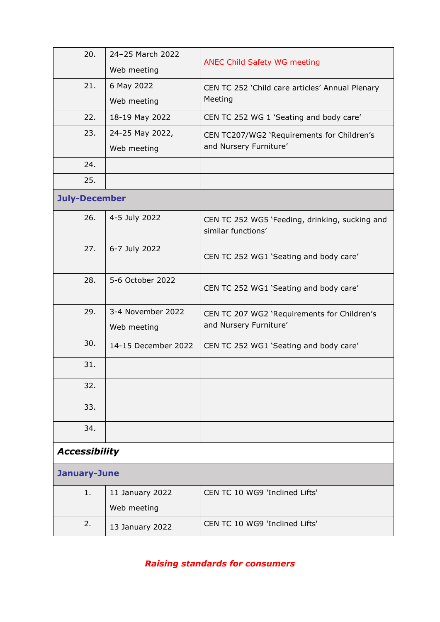| 20.                  | 24-25 March 2022    | <b>ANEC Child Safety WG meeting</b>                                  |
|----------------------|---------------------|----------------------------------------------------------------------|
|                      | Web meeting         |                                                                      |
| 21.                  | 6 May 2022          | CEN TC 252 'Child care articles' Annual Plenary                      |
|                      | Web meeting         | Meeting                                                              |
| 22.                  | 18-19 May 2022      | CEN TC 252 WG 1 'Seating and body care'                              |
| 23.                  | 24-25 May 2022,     | CEN TC207/WG2 'Requirements for Children's                           |
|                      | Web meeting         | and Nursery Furniture'                                               |
| 24.                  |                     |                                                                      |
| 25.                  |                     |                                                                      |
| <b>July-December</b> |                     |                                                                      |
| 26.                  | 4-5 July 2022       | CEN TC 252 WG5 'Feeding, drinking, sucking and<br>similar functions' |
| 27.                  | 6-7 July 2022       | CEN TC 252 WG1 'Seating and body care'                               |
| 28.                  | 5-6 October 2022    | CEN TC 252 WG1 'Seating and body care'                               |
| 29.                  | 3-4 November 2022   | CEN TC 207 WG2 'Requirements for Children's                          |
|                      | Web meeting         | and Nursery Furniture'                                               |
| 30.                  | 14-15 December 2022 | CEN TC 252 WG1 'Seating and body care'                               |
| 31.                  |                     |                                                                      |
| 32.                  |                     |                                                                      |
| 33.                  |                     |                                                                      |
| 34.                  |                     |                                                                      |
| <b>Accessibility</b> |                     |                                                                      |
| January-June         |                     |                                                                      |
| 1.                   | 11 January 2022     | CEN TC 10 WG9 'Inclined Lifts'                                       |
|                      | Web meeting         |                                                                      |
| 2.                   | 13 January 2022     | CEN TC 10 WG9 'Inclined Lifts'                                       |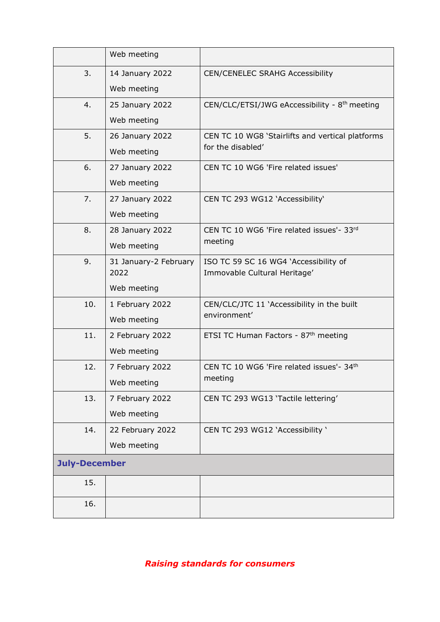|                      | Web meeting           |                                                            |
|----------------------|-----------------------|------------------------------------------------------------|
| 3.                   | 14 January 2022       | <b>CEN/CENELEC SRAHG Accessibility</b>                     |
|                      | Web meeting           |                                                            |
| 4.                   | 25 January 2022       | CEN/CLC/ETSI/JWG eAccessibility - 8 <sup>th</sup> meeting  |
|                      | Web meeting           |                                                            |
| 5.                   | 26 January 2022       | CEN TC 10 WG8 'Stairlifts and vertical platforms           |
|                      | Web meeting           | for the disabled'                                          |
| 6.                   | 27 January 2022       | CEN TC 10 WG6 'Fire related issues'                        |
|                      | Web meeting           |                                                            |
| 7.                   | 27 January 2022       | CEN TC 293 WG12 'Accessibility'                            |
|                      | Web meeting           |                                                            |
| 8.                   | 28 January 2022       | CEN TC 10 WG6 'Fire related issues'- 33rd                  |
|                      | Web meeting           | meeting                                                    |
| 9.                   | 31 January-2 February | ISO TC 59 SC 16 WG4 'Accessibility of                      |
|                      | 2022                  | Immovable Cultural Heritage'                               |
|                      | Web meeting           |                                                            |
| 10.                  | 1 February 2022       | CEN/CLC/JTC 11 'Accessibility in the built<br>environment' |
|                      | Web meeting           |                                                            |
| 11.                  | 2 February 2022       | ETSI TC Human Factors - 87 <sup>th</sup> meeting           |
|                      | Web meeting           |                                                            |
| 12.                  | 7 February 2022       | CEN TC 10 WG6 'Fire related issues'- 34th                  |
|                      | Web meeting           | meeting                                                    |
| 13.                  | 7 February 2022       | CEN TC 293 WG13 'Tactile lettering'                        |
|                      | Web meeting           |                                                            |
| 14.                  | 22 February 2022      | CEN TC 293 WG12 'Accessibility '                           |
|                      | Web meeting           |                                                            |
| <b>July-December</b> |                       |                                                            |
| 15.                  |                       |                                                            |
| 16.                  |                       |                                                            |
|                      |                       |                                                            |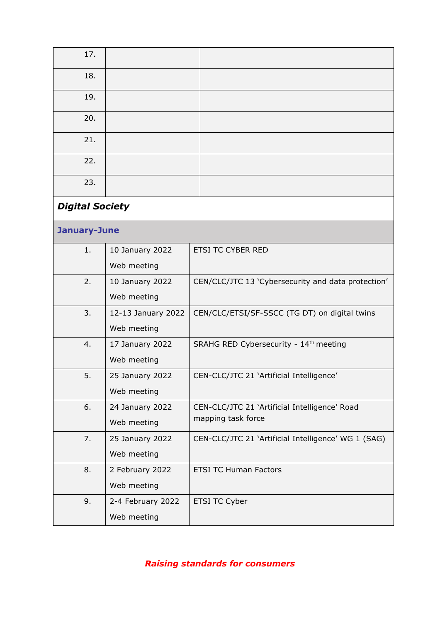| 17.                    |                    |                                                     |
|------------------------|--------------------|-----------------------------------------------------|
| 18.                    |                    |                                                     |
| 19.                    |                    |                                                     |
| 20.                    |                    |                                                     |
| 21.                    |                    |                                                     |
| 22.                    |                    |                                                     |
| 23.                    |                    |                                                     |
| <b>Digital Society</b> |                    |                                                     |
| January-June           |                    |                                                     |
| 1.                     | 10 January 2022    | <b>ETSI TC CYBER RED</b>                            |
|                        | Web meeting        |                                                     |
| 2.                     | 10 January 2022    | CEN/CLC/JTC 13 'Cybersecurity and data protection'  |
|                        | Web meeting        |                                                     |
| 3.                     | 12-13 January 2022 | CEN/CLC/ETSI/SF-SSCC (TG DT) on digital twins       |
|                        | Web meeting        |                                                     |
| 4.                     | 17 January 2022    | SRAHG RED Cybersecurity - 14th meeting              |
|                        | Web meeting        |                                                     |
| 5.                     | 25 January 2022    | CEN-CLC/JTC 21 'Artificial Intelligence'            |
|                        | Web meeting        |                                                     |
| 6.                     | 24 January 2022    | CEN-CLC/JTC 21 'Artificial Intelligence' Road       |
|                        | Web meeting        | mapping task force                                  |
| 7.                     | 25 January 2022    | CEN-CLC/JTC 21 'Artificial Intelligence' WG 1 (SAG) |
|                        | Web meeting        |                                                     |
| 8.                     | 2 February 2022    | <b>ETSI TC Human Factors</b>                        |
|                        | Web meeting        |                                                     |
| 9.                     | 2-4 February 2022  | ETSI TC Cyber                                       |
|                        | Web meeting        |                                                     |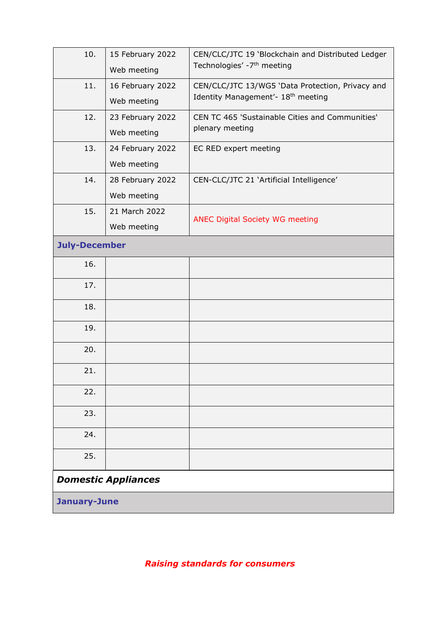| 10.                  | 15 February 2022<br>Web meeting | CEN/CLC/JTC 19 'Blockchain and Distributed Ledger<br>Technologies' -7 <sup>th</sup> meeting        |
|----------------------|---------------------------------|----------------------------------------------------------------------------------------------------|
| 11.                  | 16 February 2022<br>Web meeting | CEN/CLC/JTC 13/WG5 'Data Protection, Privacy and<br>Identity Management'- 18 <sup>th</sup> meeting |
| 12.                  | 23 February 2022<br>Web meeting | CEN TC 465 'Sustainable Cities and Communities'<br>plenary meeting                                 |
| 13.                  | 24 February 2022<br>Web meeting | EC RED expert meeting                                                                              |
| 14.                  | 28 February 2022<br>Web meeting | CEN-CLC/JTC 21 'Artificial Intelligence'                                                           |
| 15.                  | 21 March 2022<br>Web meeting    | <b>ANEC Digital Society WG meeting</b>                                                             |
| <b>July-December</b> |                                 |                                                                                                    |
| 16.                  |                                 |                                                                                                    |
| 17.                  |                                 |                                                                                                    |
| 18.                  |                                 |                                                                                                    |
| 19.                  |                                 |                                                                                                    |
| 20.                  |                                 |                                                                                                    |
| 21.                  |                                 |                                                                                                    |
| 22.                  |                                 |                                                                                                    |
| 23.                  |                                 |                                                                                                    |
| 24.                  |                                 |                                                                                                    |
| 25.                  |                                 |                                                                                                    |
|                      | <b>Domestic Appliances</b>      |                                                                                                    |
| <b>January-June</b>  |                                 |                                                                                                    |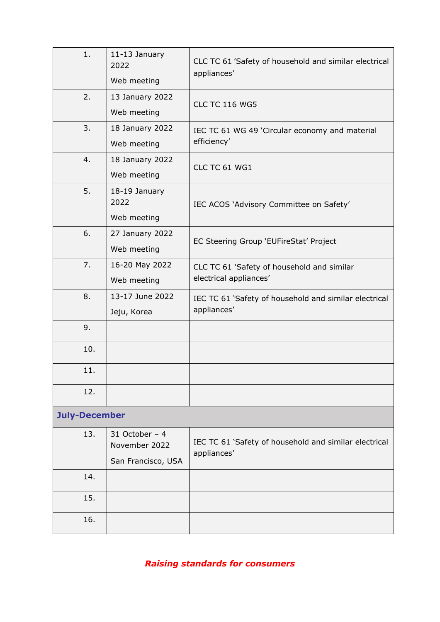| 1.                   | 11-13 January<br>2022<br>Web meeting                   | CLC TC 61 'Safety of household and similar electrical<br>appliances' |
|----------------------|--------------------------------------------------------|----------------------------------------------------------------------|
| 2.                   | 13 January 2022<br>Web meeting                         | <b>CLC TC 116 WG5</b>                                                |
| 3.                   | 18 January 2022<br>Web meeting                         | IEC TC 61 WG 49 'Circular economy and material<br>efficiency'        |
| 4.                   | 18 January 2022<br>Web meeting                         | CLC TC 61 WG1                                                        |
| 5.                   | 18-19 January<br>2022<br>Web meeting                   | IEC ACOS 'Advisory Committee on Safety'                              |
| 6.                   | 27 January 2022<br>Web meeting                         | EC Steering Group 'EUFireStat' Project                               |
| 7.                   | 16-20 May 2022<br>Web meeting                          | CLC TC 61 'Safety of household and similar<br>electrical appliances' |
| 8.                   | 13-17 June 2022<br>Jeju, Korea                         | IEC TC 61 'Safety of household and similar electrical<br>appliances' |
| 9.                   |                                                        |                                                                      |
| 10.                  |                                                        |                                                                      |
| 11.                  |                                                        |                                                                      |
| 12.                  |                                                        |                                                                      |
| <b>July-December</b> |                                                        |                                                                      |
| 13.                  | 31 October $-4$<br>November 2022<br>San Francisco, USA | IEC TC 61 'Safety of household and similar electrical<br>appliances' |
| 14.                  |                                                        |                                                                      |
| 15.                  |                                                        |                                                                      |
| 16.                  |                                                        |                                                                      |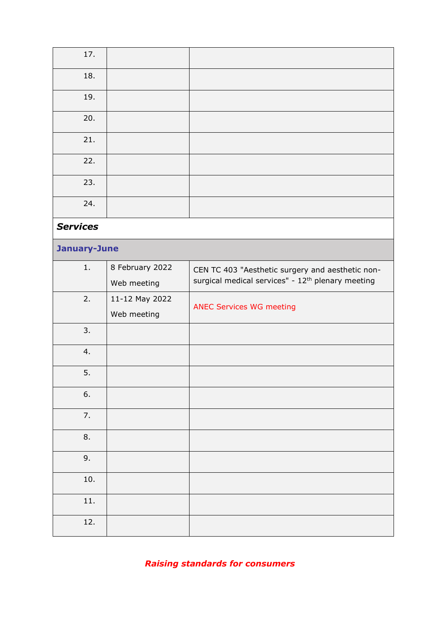| 17.             |                 |                                                               |
|-----------------|-----------------|---------------------------------------------------------------|
| 18.             |                 |                                                               |
| 19.             |                 |                                                               |
| 20.             |                 |                                                               |
| 21.             |                 |                                                               |
| 22.             |                 |                                                               |
| 23.             |                 |                                                               |
| 24.             |                 |                                                               |
| <b>Services</b> |                 |                                                               |
| January-June    |                 |                                                               |
| 1.              | 8 February 2022 | CEN TC 403 "Aesthetic surgery and aesthetic non-              |
|                 | Web meeting     | surgical medical services" - 12 <sup>th</sup> plenary meeting |
| 2.              | 11-12 May 2022  | <b>ANEC Services WG meeting</b>                               |
|                 | Web meeting     |                                                               |
| 3.              |                 |                                                               |
| 4.              |                 |                                                               |
| 5.              |                 |                                                               |
| 6.              |                 |                                                               |
| 7.              |                 |                                                               |
| 8.              |                 |                                                               |
| 9.              |                 |                                                               |
| 10.             |                 |                                                               |
| $11.$           |                 |                                                               |
| 12.             |                 |                                                               |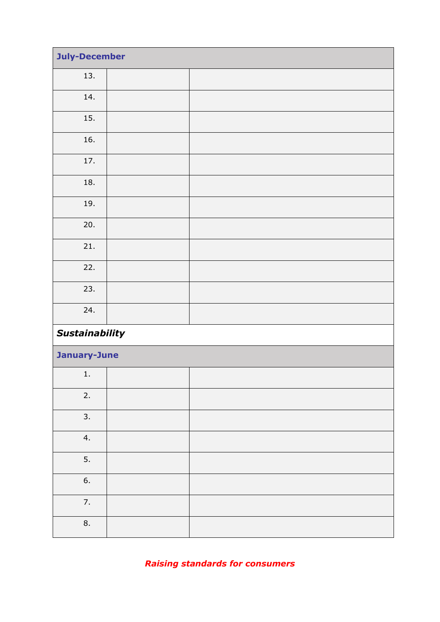| <b>July-December</b> |                |  |  |
|----------------------|----------------|--|--|
| 13.                  |                |  |  |
| 14.                  |                |  |  |
| 15.                  |                |  |  |
| 16.                  |                |  |  |
| 17.                  |                |  |  |
| 18.                  |                |  |  |
| 19.                  |                |  |  |
| 20.                  |                |  |  |
| 21.                  |                |  |  |
| 22.                  |                |  |  |
| 23.                  |                |  |  |
| 24.                  |                |  |  |
|                      | Sustainability |  |  |
|                      | January-June   |  |  |
| 1.                   |                |  |  |
| 2.                   |                |  |  |
| 3.                   |                |  |  |
| 4.                   |                |  |  |
| 5.                   |                |  |  |
| 6.                   |                |  |  |
| 7.                   |                |  |  |
| 8.                   |                |  |  |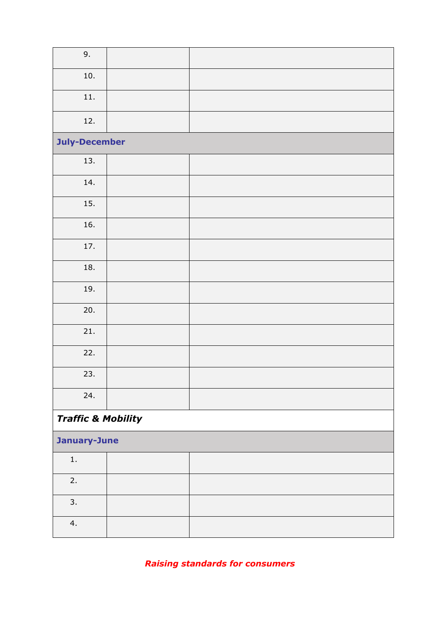| 9.                            |  |
|-------------------------------|--|
| 10.                           |  |
| 11.                           |  |
| 12.                           |  |
| <b>July-December</b>          |  |
| 13.                           |  |
| 14.                           |  |
| 15.                           |  |
| 16.                           |  |
| 17.                           |  |
| 18.                           |  |
| 19.                           |  |
| 20.                           |  |
| 21.                           |  |
| 22.                           |  |
| 23.                           |  |
| 24.                           |  |
| <b>Traffic &amp; Mobility</b> |  |
| January-June                  |  |
| $1.$                          |  |
| 2.                            |  |
| 3.                            |  |
| 4.                            |  |